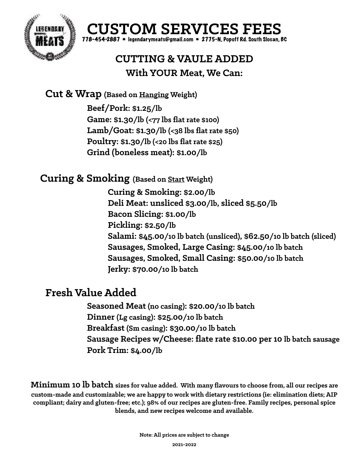



## **CUTTING & VAULE ADDED With YOUR Meat, We Can:**

**Cut & Wrap (Based on Hanging Weight)**

 **Beef/Pork: \$1.25/lb Game: \$1.30/lb (<77 lbs flat rate \$100) Lamb/Goat: \$1.30/lb (<38 lbs flat rate \$50) Poultry: \$1.30/lb (<20 lbs flat rate \$25) Grind (boneless meat): \$1.00/lb**

## **Curing & Smoking (Based on Start Weight)**

 **Curing & Smoking: \$2.00/lb Deli Meat: unsliced \$3.00/lb, sliced \$5.50/lb Bacon Slicing: \$1.00/lb Pickling: \$2.50/lb Salami: \$45.00/10 lb batch (unsliced), \$62.50/10 lb batch (sliced) Sausages, Smoked, Large Casing: \$45.00/10 lb batch Sausages, Smoked, Small Casing: \$50.00/10 lb batch Jerky: \$70.00/10 lb batch**

## **Fresh Value Added**

 **Seasoned Meat (no casing): \$20.00/10 lb batch Dinner (Lg casing): \$25.00/10 lb batch Breakfast (Sm casing): \$30.00/10 lb batch Sausage Recipes w/Cheese: flate rate \$10.00 per 10 lb batch sausage Pork Trim: \$4.00/lb** 

**Minimum 10 lb batch sizes for value added. With many flavours to choose from, all our recipes are custom-made and customizable; we are happy to work with dietary restrictions (ie: elimination diets; AIP compliant; dairy and gluten-free; etc.); 98% of our recipes are gluten-free. Family recipes, personal spice blends, and new recipes welcome and available.**